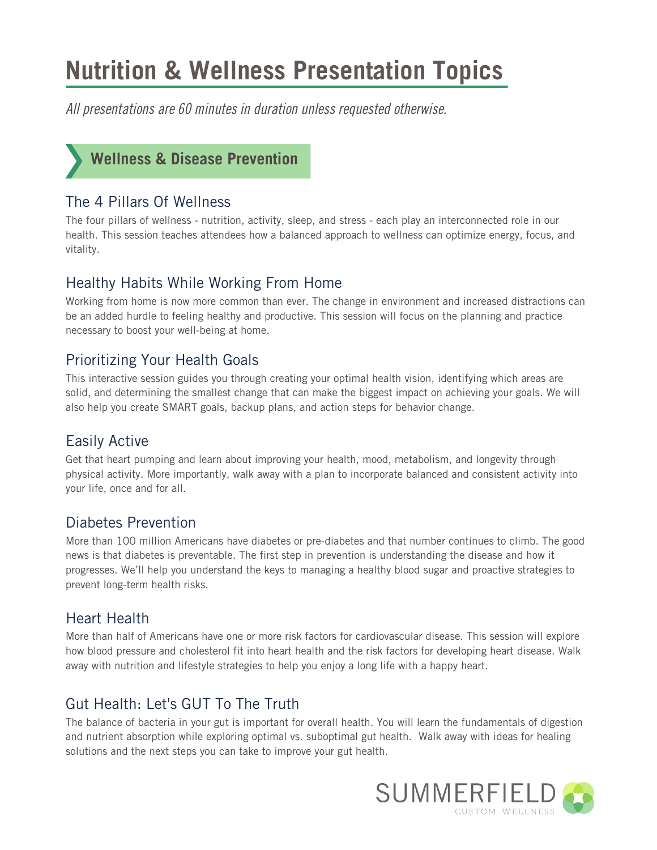# **Nutrition & Wellness Presentation Topics**

All presentations are 60 minutes in duration unless requested otherwise.



## The 4 Pillars Of Wellness

The four pillars of wellness - nutrition, activity, sleep, and stress - each play an interconnected role in our health. This session teaches attendees how a balanced approach to wellness can optimize energy, focus, and vitality.

## Healthy Habits While Working From Home

Working from home is now more common than ever. The change in environment and increased distractions can be an added hurdle to feeling healthy and productive. This session will focus on the planning and practice necessary to boost your well-being at home.

## Prioritizing Your Health Goals

This interactive session guides you through creating your optimal health vision, identifying which areas are solid, and determining the smallest change that can make the biggest impact on achieving your goals. We will also help you create SMART goals, backup plans, and action steps for behavior change.

# Easily Active

Get that heart pumping and learn about improving your health, mood, metabolism, and longevity through physical activity. More importantly, walk away with a plan to incorporate balanced and consistent activity into your life, once and for all.

#### Diabetes Prevention

More than 100 million Americans have diabetes or pre-diabetes and that number continues to climb. The good news is that diabetes is preventable. The first step in prevention is understanding the disease and how it progresses. We'll help you understand the keys to managing a healthy blood sugar and proactive strategies to prevent long-term health risks.

#### Heart Health

More than half of Americans have one or more risk factors for cardiovascular disease. This session will explore how blood pressure and cholesterol fit into heart health and the risk factors for developing heart disease. Walk away with nutrition and lifestyle strategies to help you enjoy a long life with a happy heart.

# Gut Health: Let's GUT To The Truth

The balance of bacteria in your gut is important for overall health. You will learn the fundamentals of digestion and nutrient absorption while exploring optimal vs. suboptimal gut health. Walk away with ideas for healing solutions and the next steps you can take to improve your gut health.

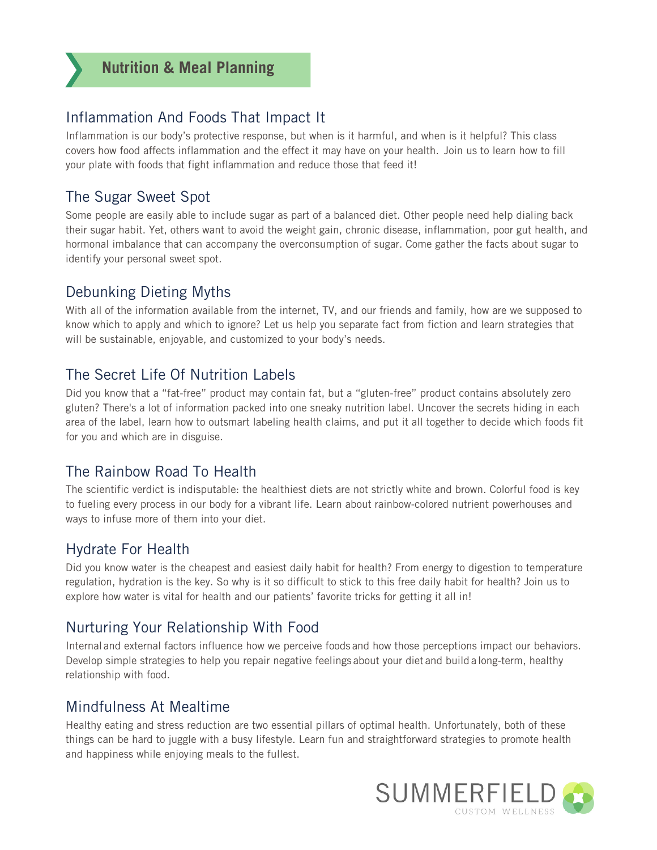# Inflammation And Foods That Impact It

Inflammation is our body's protective response, but when is it harmful, and when is it helpful? This class covers how food affects inflammation and the effect it may have on your health. Join us to learn how to fill your plate with foods that fight inflammation and reduce those that feed it!

# The Sugar Sweet Spot

Some people are easily able to include sugar as part of a balanced diet. Other people need help dialing back their sugar habit. Yet, others want to avoid the weight gain, chronic disease, inflammation, poor gut health, and hormonal imbalance that can accompany the overconsumption of sugar. Come gather the facts about sugar to identify your personal sweet spot.

# Debunking Dieting Myths

With all of the information available from the internet, TV, and our friends and family, how are we supposed to know which to apply and which to ignore? Let us help you separate fact from fiction and learn strategies that will be sustainable, enjoyable, and customized to your body's needs.

# The Secret Life Of Nutrition Labels

Did you know that a "fat-free" product may contain fat, but a "gluten-free" product contains absolutely zero gluten? There's a lot of information packed into one sneaky nutrition label. Uncover the secrets hiding in each area of the label, learn how to outsmart labeling health claims, and put it all together to decide which foods fit for you and which are in disguise.

# The Rainbow Road To Health

The scientific verdict is indisputable: the healthiest diets are not strictly white and brown. Colorful food is key to fueling every process in our body for a vibrant life. Learn about rainbow-colored nutrient powerhouses and ways to infuse more of them into your diet.

# Hydrate For Health

Did you know water is the cheapest and easiest daily habit for health? From energy to digestion to temperature regulation, hydration is the key. So why is it so difficult to stick to this free daily habit for health? Join us to explore how water is vital for health and our patients' favorite tricks for getting it all in!

# Nurturing Your Relationship With Food

Internal and external factors influence how we perceive foods and how those perceptions impact our behaviors. Develop simple strategies to help you repair negative feelings about your diet and build a long-term, healthy relationship with food.

# Mindfulness At Mealtime

Healthy eating and stress reduction are two essential pillars of optimal health. Unfortunately, both of these things can be hard to juggle with a busy lifestyle. Learn fun and straightforward strategies to promote health and happiness while enjoying meals to the fullest.

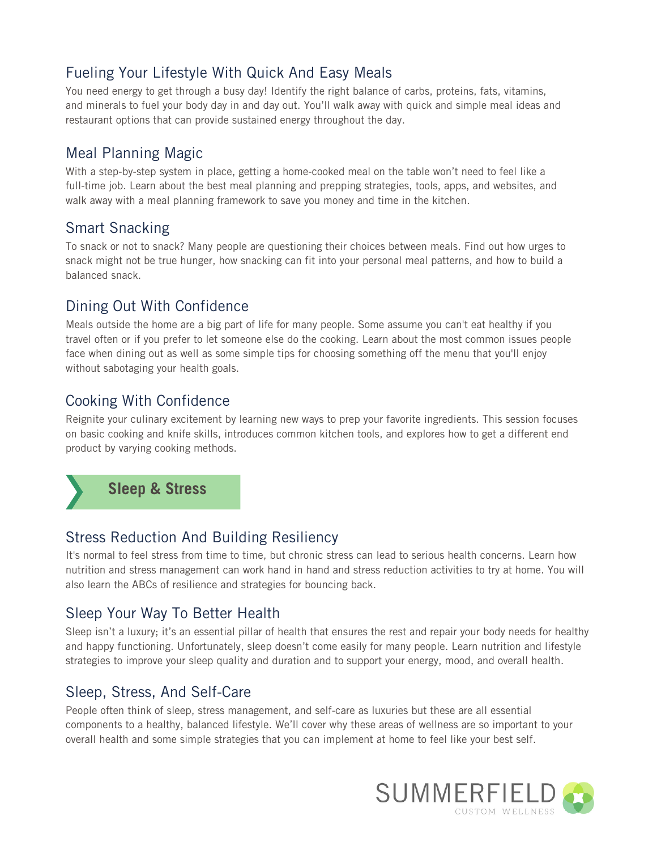# Fueling Your Lifestyle With Quick And Easy Meals

You need energy to get through a busy day! Identify the right balance of carbs, proteins, fats, vitamins, and minerals to fuel your body day in and day out. You'll walk away with quick and simple meal ideas and restaurant options that can provide sustained energy throughout the day.

#### Meal Planning Magic

With a step-by-step system in place, getting a home-cooked meal on the table won't need to feel like a full-time job. Learn about the best meal planning and prepping strategies, tools, apps, and websites, and walk away with a meal planning framework to save you money and time in the kitchen.

#### Smart Snacking

To snack or not to snack? Many people are questioning their choices between meals. Find out how urges to snack might not be true hunger, how snacking can fit into your personal meal patterns, and how to build a balanced snack.

# Dining Out With Confidence

Meals outside the home are a big part of life for many people. Some assume you can't eat healthy if you travel often or if you prefer to let someone else do the cooking. Learn about the most common issues people face when dining out as well as some simple tips for choosing something off the menu that you'll enjoy without sabotaging your health goals.

# Cooking With Confidence

Reignite your culinary excitement by learning new ways to prep your favorite ingredients. This session focuses on basic cooking and knife skills, introduces common kitchen tools, and explores how to get a different end product by varying cooking methods.



# Stress Reduction And Building Resiliency

It's normal to feel stress from time to time, but chronic stress can lead to serious health concerns. Learn how nutrition and stress management can work hand in hand and stress reduction activities to try at home. You will also learn the ABCs of resilience and strategies for bouncing back.

# Sleep Your Way To Better Health

Sleep isn't a luxury; it's an essential pillar of health that ensures the rest and repair your body needs for healthy and happy functioning. Unfortunately, sleep doesn't come easily for many people. Learn nutrition and lifestyle strategies to improve your sleep quality and duration and to support your energy, mood, and overall health.

#### Sleep, Stress, And Self-Care

People often think of sleep, stress management, and self-care as luxuries but these are all essential components to a healthy, balanced lifestyle. We'll cover why these areas of wellness are so important to your overall health and some simple strategies that you can implement at home to feel like your best self.